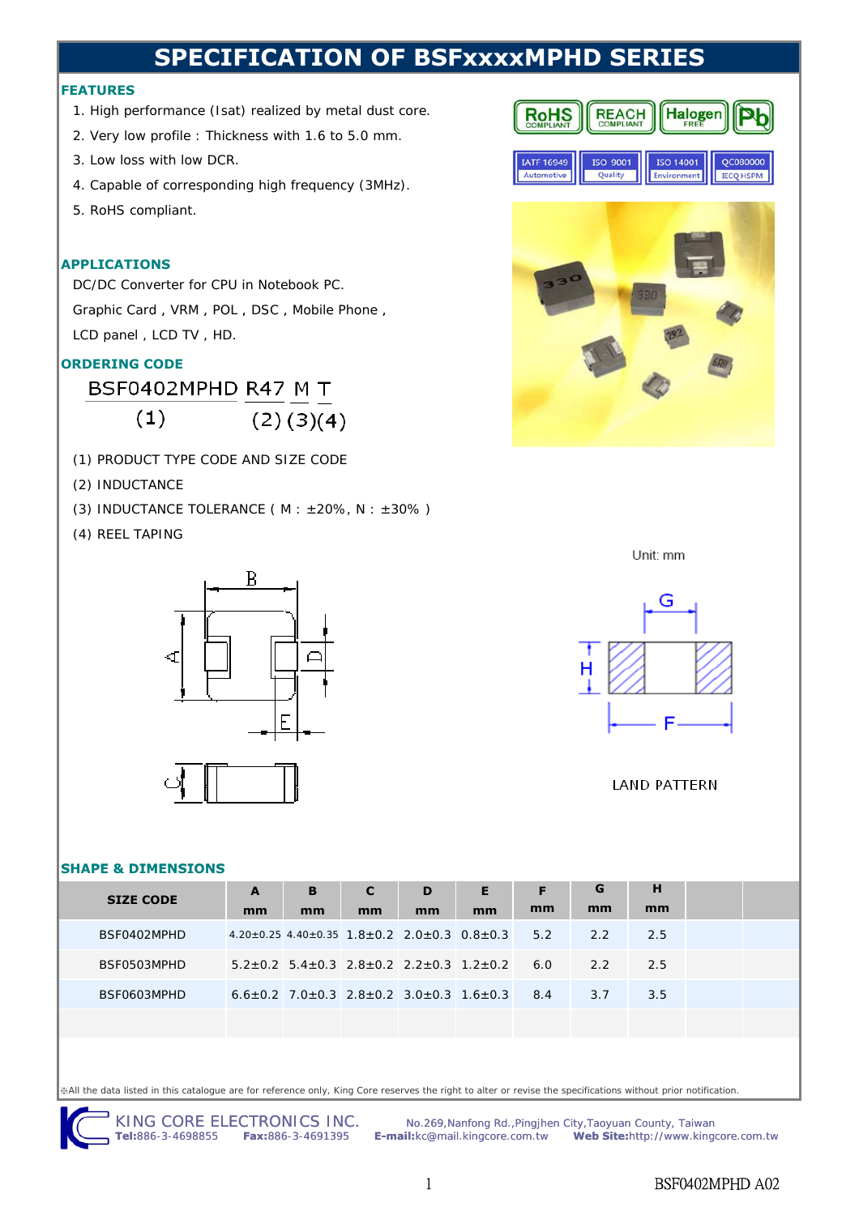# **SPECIFICATION OF BSFxxxxMPHD SERIES**

#### **FEATURES**

- 1. High performance (Isat) realized by metal dust core.
- 2. Very low profile : Thickness with 1.6 to 5.0 mm.
- 3. Low loss with low DCR.
- 4. Capable of corresponding high frequency (3MHz).
- 5. RoHS compliant.

#### **APPLICATIONS**

DC/DC Converter for CPU in Notebook PC. Graphic Card, VRM, POL, DSC, Mobile Phone, LCD panel , LCD TV , HD.

## **ORDERING CODE**

BSF0402MPHD R47 M T  $(1)$  $(2)(3)(4)$ 

- (1) PRODUCT TYPE CODE AND SIZE CODE
- (2) INDUCTANCE
- (3) INDUCTANCE TOLERANCE ( $M : ±20\%$ ,  $N : ±30\%$ )
- (4) REEL TAPING



#### **SHAPE & DIMENSIONS**

| <b>SIZE CODE</b> | A  | B  | C  | D  | Е                                                                             | F  | G   | н    |  |
|------------------|----|----|----|----|-------------------------------------------------------------------------------|----|-----|------|--|
|                  | mm | mm | mm | mm | mm                                                                            | mm | mm  | mm   |  |
| BSF0402MPHD      |    |    |    |    | $4.20 \pm 0.25$ $4.40 \pm 0.35$ $1.8 \pm 0.2$ $2.0 \pm 0.3$ $0.8 \pm 0.3$ 5.2 |    | 2.2 | -2.5 |  |
| BSF0503MPHD      |    |    |    |    | $5.2+0.2$ $5.4+0.3$ $2.8+0.2$ $2.2+0.3$ $1.2+0.2$ 6.0                         |    | 2.2 | -2.5 |  |
| BSF0603MPHD      |    |    |    |    | $6.6+0.2$ 7.0+0.3 2.8+0.2 3.0+0.3 1.6+0.3 8.4                                 |    | 3.7 | 3.5  |  |
|                  |    |    |    |    |                                                                               |    |     |      |  |

※All the data listed in this catalogue are for reference only, King Core reserves the right to alter or revise the specifications without prior notification.

KING CORE ELECTRONICS INC. Mo.269, Nanfong Rd., Pingjhen City, Taoyuan County, Taiwan<br>Tel:886-3-4698855 Fax:886-3-4691395 E-mail:kc@mail.kingcore.com.tw Web Site:http://www.king **Tel:**886-3-4698855 **Fax:**886-3-4691395 **E-mail:**kc@mail.kingcore.com.tw **Web Site:**http://www.kingcore.com.tw





Unit: mm



#### **LAND PATTERN**